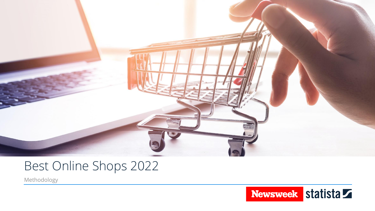

# Best Online Shops 2022

Methodology

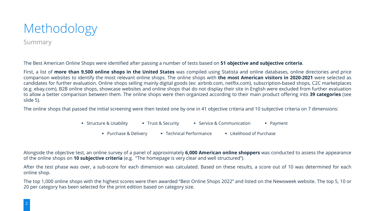

Summary

The Best American Online Shops were identified after passing a number of tests based on **51 objective and subjective criteria**.

First, a list of **more than 9,500 online shops in the United States** was compiled using Statista and online databases, online directories and price comparison websites to identify the most relevant online shops. The online shops with **the most American visitors in 2020-2021** were selected as candidates for further evaluation. Online shops selling mainly digital goods (ex: airbnb.com, netflix.com), subscription-based shops, C2C marketplaces (e.g. ebay.com), B2B online shops, showcase websites and online shops that do not display their site in English were excluded from further evaluation to allow a better comparison between them. The online shops were then organized according to their main product offering into **39 categories** (see slide 5).

The online shops that passed the initial screening were then tested one by one in 41 objective criteria and 10 subjective criteria on 7 dimensions:

- Structure & Usability Trust & Security Service & Communication Payment
	- Purchase & Delivery Technical Performance Likelihood of Purchase

Alongside the objective test, an online survey of a panel of approximately **6,000 American online shoppers** was conducted to assess the appearance of the online shops on **10 subjective criteria** (e.g. "The homepage is very clear and well structured").

After the test phase was over, a sub-score for each dimension was calculated. Based on these results, a score out of 10 was determined for each online shop.

The top 1,000 online shops with the highest scores were then awarded "Best Online Shops 2022" and listed on the Newsweek website. The top 5, 10 or 20 per category has been selected for the print edition based on category size.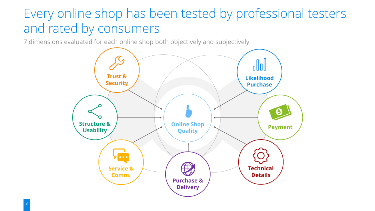## Every online shop has been tested by professional testers and rated by consumers

7 dimensions evaluated for each online shop both objectively and subjectively

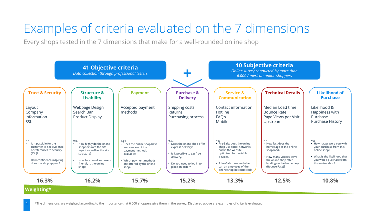# Examples of criteria evaluated on the 7 dimensions

Every shops tested in the 7 dimensions that make for a well-rounded online shop

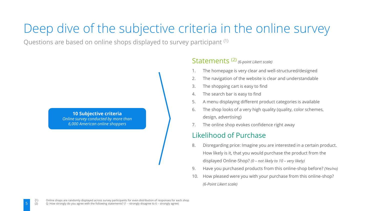## Deep dive of the subjective criteria in the online survey

Questions are based on online shops displayed to survey participant (1)

**10 Subjective criteria** *Online survey conducted by more than 6,000 American online shoppers*

#### Statements (2) *(6-point Likert scale)*

- The homepage is very clear and well-structured/designed
- 2. The navigation of the website is clear and understandable
- 3. The shopping cart is easy to find
- 4. The search bar is easy to find
- 5. A menu displaying different product categories is available
- 6. The shop looks of a very high quality (quality, color schemes, design, advertising)
- 7. The online shop evokes confidence right away

#### Likelihood of Purchase

- 8. Disregarding price: Imagine you are interested in a certain product. How likely is it, that you would purchase the product from the displayed Online-Shop? *(0 – not likely to 10 – very likely)*
- 9. Have you purchased products from this online-shop before? *(Yes/no)*
- 10. How pleased were you with your purchase from this online-shop? *(6-Point Likert scale)*